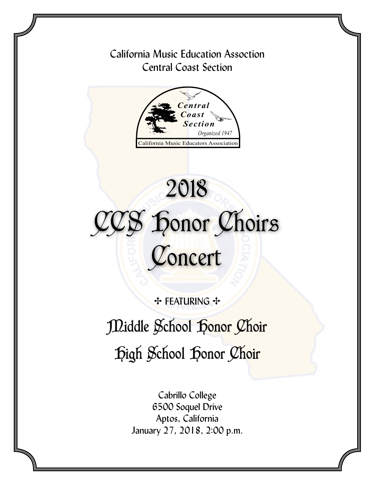### California Music Education Assoction Central Coast Section



## **CAL R<sup>N</sup><sup>I</sup><sup>A</sup> <sup>M</sup>USI<sup>C</sup> <sup>E</sup>DUCATOR<sup>S</sup> <sup>A</sup>SS<sup>O</sup>** 2018 CCS Honor Choirs Concert

**++ FEATURING ++** 

# Middle School Honor Choir High School Honor Choir

Cabrillo College 6500 Soquel Drive Aptos, California January 27, 2018, 2:00 p.m.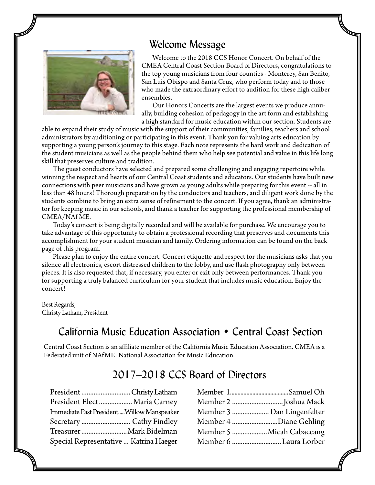#### Welcome Message



Welcome to the 2018 CCS Honor Concert. On behalf of the CMEA Central Coast Section Board of Directors, congratulations to the top young musicians from four counties - Monterey, San Benito, San Luis Obispo and Santa Cruz, who perform today and to those who made the extraordinary effort to audition for these high caliber ensembles.

Our Honors Concerts are the largest events we produce annually, building cohesion of pedagogy in the art form and establishing a high standard for music education within our section. Students are

able to expand their study of music with the support of their communities, families, teachers and school administrators by auditioning or participating in this event. Thank you for valuing arts education by supporting a young person's journey to this stage. Each note represents the hard work and dedication of the student musicians as well as the people behind them who help see potential and value in this life long skill that preserves culture and tradition.

The guest conductors have selected and prepared some challenging and engaging repertoire while winning the respect and hearts of our Central Coast students and educators. Our students have built new connections with peer musicians and have grown as young adults while preparing for this event -- all in less than 48 hours! Thorough preparation by the conductors and teachers, and diligent work done by the students combine to bring an extra sense of refinement to the concert. If you agree, thank an administrator for keeping music in our schools, and thank a teacher for supporting the professional membership of CMEA/NAf ME.

Today's concert is being digitally recorded and will be available for purchase. We encourage you to take advantage of this opportunity to obtain a professional recording that preserves and documents this accomplishment for your student musician and family. Ordering information can be found on the back page of this program.

Please plan to enjoy the entire concert. Concert etiquette and respect for the musicians asks that you silence all electronics, escort distressed children to the lobby, and use flash photography only between pieces. It is also requested that, if necessary, you enter or exit only between performances. Thank you for supporting a truly balanced curriculum for your student that includes music education. Enjoy the concert!

Best Regards, Christy Latham, President

#### California Music Education Association • Central Coast Section

Central Coast Section is an affiliate member of the California Music Education Association. CMEA is a Federated unit of NAfME: National Association for Music Education.

### 2017–2018 CCS Board of Directors

| President Christy Latham                  |  |
|-------------------------------------------|--|
| President Elect Maria Carney              |  |
| Immediate Past PresidentWillow Manspeaker |  |
| Secretary  Cathy Findley                  |  |
| Treasurer Mark Bidelman                   |  |
| Special Representative  Katrina Haeger    |  |

| Member 3  Dan Lingenfelter |
|----------------------------|
| Member 4 Diane Gehling     |
| Member 5 Micah Cabaccang   |
| Member 6 Laura Lorber      |
|                            |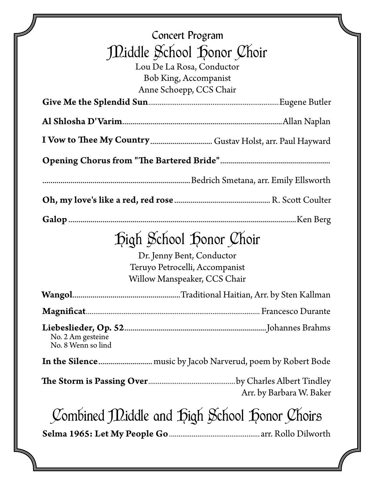| Concert Program<br>Middle School Honor Choir<br>Lou De La Rosa, Conductor<br><b>Bob King, Accompanist</b><br>Anne Schoepp, CCS Chair |  |  |
|--------------------------------------------------------------------------------------------------------------------------------------|--|--|
|                                                                                                                                      |  |  |
|                                                                                                                                      |  |  |
|                                                                                                                                      |  |  |
|                                                                                                                                      |  |  |
|                                                                                                                                      |  |  |
|                                                                                                                                      |  |  |
|                                                                                                                                      |  |  |
| Digh School Donor Choir<br>Dr. Jenny Bent, Conductor<br>Teruyo Petrocelli, Accompanist<br>Willow Manspeaker, CCS Chair               |  |  |
|                                                                                                                                      |  |  |
|                                                                                                                                      |  |  |
| No. 2 Am gesteine<br>No. 8 Wenn so lind                                                                                              |  |  |
|                                                                                                                                      |  |  |
| Arr. by Barbara W. Baker                                                                                                             |  |  |
| Combined Middle and Bigh School Donor Choirs                                                                                         |  |  |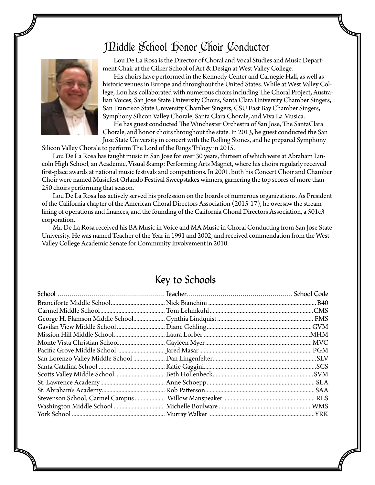## Middle School Honor Choir Conductor



Lou De La Rosa is the Director of Choral and Vocal Studies and Music Department Chair at the Cilker School of Art & Design at West Valley College.

His choirs have performed in the Kennedy Center and Carnegie Hall, as well as historic venues in Europe and throughout the United States. While at West Valley College, Lou has collaborated with numerous choirs including The Choral Project, Australian Voices, San Jose State University Choirs, Santa Clara University Chamber Singers, San Francisco State University Chamber Singers, CSU East Bay Chamber Singers, Symphony Silicon Valley Chorale, Santa Clara Chorale, and Viva La Musica.

He has guest conducted The Winchester Orchestra of San Jose, The SantaClara Chorale, and honor choirs throughout the state. In 2013, he guest conducted the San Jose State University in concert with the Rolling Stones, and he prepared Symphony

Silicon Valley Chorale to perform The Lord of the Rings Trilogy in 2015.

Lou De La Rosa has taught music in San Jose for over 30 years, thirteen of which were at Abraham Lincoln High School, an Academic, Visual & amp; Performing Arts Magnet, where his choirs regularly received first-place awards at national music festivals and competitions. In 2001, both his Concert Choir and Chamber Choir were named Musicfest Orlando Festival Sweepstakes winners, garnering the top scores of more than 250 choirs performing that season.

Lou De La Rosa has actively served his profession on the boards of numerous organizations. As President of the California chapter of the American Choral Directors Association (2015-17), he oversaw the streamlining of operations and finances, and the founding of the California Choral Directors Association, a 501c3 corporation.

Mr. De La Rosa received his BA Music in Voice and MA Music in Choral Conducting from San Jose State University. He was named Teacher of the Year in 1991 and 2002, and received commendation from the West Valley College Academic Senate for Community Involvement in 2010.

#### Key to Schools

| San Lorenzo Valley Middle School |  |
|----------------------------------|--|
|                                  |  |
|                                  |  |
|                                  |  |
|                                  |  |
|                                  |  |
|                                  |  |
|                                  |  |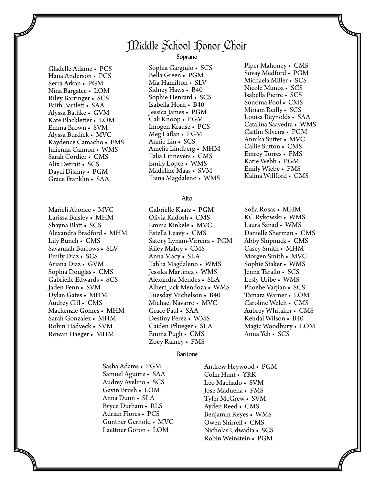### Middle School Honor Choir

Gladelle Adame • PCS Hana Anderson • PCS Serra Arkan • PGM Nina Bargatce • LOM Riley Barringer • SCS Faith Bartlett • SAA Alyssa Bathke • GVM Kate Blackletter • LOM Emma Brown • SVM Alyssa Burdick • MVC Kaydence Camacho • FMS Julienna Cannon • WMS Sarah Cordier • CMS Alix Detrait • SCS Dayci Dishny • PGM Grace Franklin • SAA

Marieli Abonce • MVC Larissa Balsley • MHM Shayna Blatt • SCS Alexandra Bradford • MHM Lily Bunch • CMS Savannah Burrows • SLV Emily Diaz • SCS Ariana Diaz • GVM Sophia Douglas • CMS Gabrielle Edwards • SCS Jaden Fenn • SVM Dylan Gates • MHM Audrey Gill • CMS Mackenzie Gomes • MHM Sarah Gonzalez • MHM Robin Hadveck • SVM Rowan Haeger • MHM

Soprano

Sophia Gargiulo • SCS Bella Green • PGM Mia Hamilton • SLV Sidney Haws • B40 Sophie Henrard • SCS Isabella Horn • B40 Jessica James • PGM Cali Knoop • PGM Imogen Krause • PCS Meg Laflan • PGM Annie Lin • SCS Amelie Lindberg • MHM Talia Linnevers • CMS Emily Lopez • WMS Madeline Maas • SVM Tiana Magdaleno • WMS

#### Alto

Gabrielle Kaatz • PGM Olivia Kadosh • CMS Emma Kinkele • MVC Estella Leavy • CMS Satory Lynam-Virreira • PGM Riley Mabry • CMS Anna Macy • SLA Tahlia Magdaleno • WMS Jessika Martinez • WMS Alexandra Mendes • SLA Albert Jack Mendoza • WMS Tuesday Michelson • B40 Michael Navarro • MVC Grace Paul • SAA Destiny Perez • WMS Caiden Pflueger • SLA Emma Pugh • CMS Zoey Rainey • FMS

#### Baritone

Sasha Adams • PGM Samuel Aguirre • SAA Audrey Avelino • SCS Gavin Brush • LOM Anna Dunn • SLA Bryce Durham • RLS Adrian Flores • PCS Gunther Gerhold • MVC Laettner Goron • LOM

Andrew Heywood • PGM Colin Hunt • YRK Leo Machado • SVM Jose Maduena • FMS Tyler McGrew • SVM Ayden Reed • CMS Benjamin Reyes • WMS Owen Shirrell • CMS Nicholas Udwadia • SCS Robin Weinstein • PGM

Piper Mahoney • CMS Sovay Medford • PGM Michaela Miller • SCS Nicole Munoz • SCS Isabella Pierre • SCS Sonoma Pool • CMS Miriam Reilly • SCS Louisa Reynolds • SAA Catalina Saavedra • WMS Caitlin Silveira • PGM Annika Sutter • MVC Callie Sutton • CMS Emrey Torres • FMS Katie Webb • PGM Emily Wiebe • FMS Kalina Willford • CMS

Sofia Rosas • MHM KC Rykowski • WMS Laura Sanad • WMS Danielle Sherman • CMS Abby Shipnuck • CMS Casey Smith • MHM Morgen Smith • MVC Sophie Staker • WMS Jenna Tarallo • SCS Lesly Uribe • WMS Phoebe Varjian • SCS Tamara Warner • LOM Caroline Welch • CMS Aubrey Whitaker • CMS Kendal Wilson • B40 Magic Woodbury • LOM Anna Yeh • SCS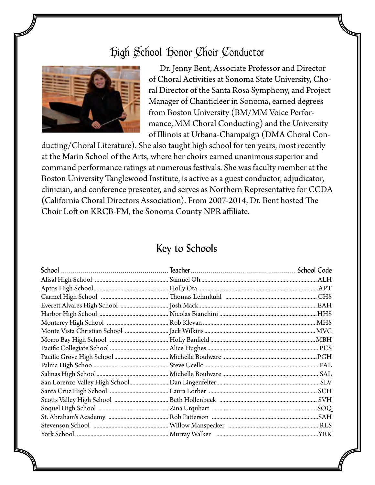### High School Honor Choir Conductor



Dr. Jenny Bent, Associate Professor and Director of Choral Activities at Sonoma State University, Choral Director of the Santa Rosa Symphony, and Project Manager of Chanticleer in Sonoma, earned degrees from Boston University (BM/MM Voice Performance, MM Choral Conducting) and the University of Illinois at Urbana-Champaign (DMA Choral Con-

ducting/Choral Literature). She also taught high school for ten years, most recently at the Marin School of the Arts, where her choirs earned unanimous superior and command performance ratings at numerous festivals. She was faculty member at the Boston University Tanglewood Institute, is active as a guest conductor, adjudicator, clinician, and conference presenter, and serves as Northern Representative for CCDA (California Choral Directors Association). From 2007-2014, Dr. Bent hosted The Choir Loft on KRCB-FM, the Sonoma County NPR affiliate.

#### Key to Schools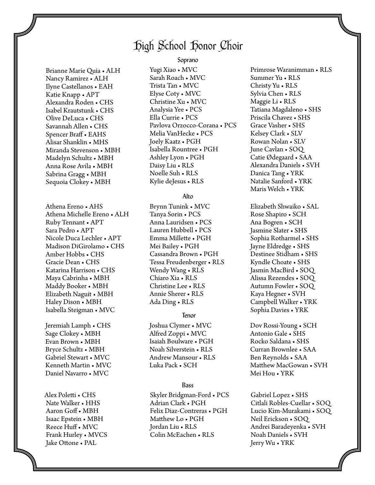### High School Honor Choir

#### Soprano

Brianne Marie Quia • ALH Nancy Ramirez • ALH Ilyne Castellanos • EAH Katie Knapp • APT Alexandra Roden • CHS Isabel Krautstunk • CHS Olive DeLuca • CHS Savannah Allen • CHS Spencer Braff • EAHS Alisar Shanklin • MHS Miranda Stevenson • MBH Madelyn Schultz • MBH Anna Rose Avila • MBH Sabrina Gragg • MBH Sequoia Clokey • MBH

Athena Ereno • AHS Athena Michelle Ereno • ALH Ruby Tennant • APT Sara Pedro • APT Nicole Duca Lechler • APT Madison DiGirolamo • CHS Amber Hobbs • CHS Gracie Dean • CHS Katarina Harrison • CHS Maya Cabrinha • MBH Maddy Booker • MBH Elizabeth Naguit • MBH Haley Dison • MBH Isabella Steigman • MVC

Jeremiah Lamph • CHS Sage Clokey • MBH Evan Brown • MBH Bryce Schultz • MBH Gabriel Stewart • MVC Kenneth Martin • MVC Daniel Navarro • MVC

Alex Poletti • CHS Nate Walker • HHS Aaron Goff • MBH Isaac Epstein • MBH Reece Huff • MVC Frank Hurley • MVCS Jake Ottone • PAL

Yugi Xiao • MVC Sarah Roach • MVC Trista Tan • MVC Elyse Coty • MVC Christine Xu • MVC Analysia Yee • PCS Ella Currie • PCS Pavlova Orzocco-Corana • PCS Melia VanHecke • PCS Joely Kaatz • PGH Isabella Rountree • PGH Ashley Lyon • PGH Daisy Liu • RLS Noelle Suh • RLS Kylie deJesus • RLS

#### Alto

Brynn Tunink • MVC Tanya Sorin • PCS Anna Lauridsen • PCS Lauren Hubbell • PCS Emma Millette • PGH Mei Bailey • PGH Cassandra Brown • PGH Tessa Freudenberger • RLS Wendy Wang • RLS Chiaro Xia • RLS Christine Lee • RLS Annie Sherer • RLS Ada Ding • RLS

#### Tenor

Joshua Clymer • MVC Alfred Zoppi • MVC Isaiah Boulware • PGH Noah Silverstein • RLS Andrew Mansour • RLS Luka Pack • SCH

#### Bass

 Skyler Bridgman-Ford • PCS Adrian Clark • PGH Felix Diaz-Contreras • PGH Matthew Lo • PGH Jordan Liu • RLS Colin McEachen • RLS

Primrose Waranimman • RLS Summer Yu • RLS Christy Yu • RLS Sylvia Chen • RLS Maggie Li • RLS Tatiana Magdaleno • SHS Priscila Chavez • SHS Grace Vasher • SHS Kelsey Clark • SLV Rowan Nolan • SLV June Cavlan • SOQ Catie Ødegaard • SAA Alexandra Daniels • SVH Danica Tang • YRK Natalie Sanford • YRK Maris Welch • YRK

Elizabeth Shwaiko • SAL Rose Shapiro • SCH Ana Bogren • SCH Jasmine Slater • SHS Sophia Rotharmel • SHS Jayne Eldredge • SHS Destinee Stidham • SHS Kyndle Choate • SHS Jasmin MacBird • SOQ Alissa Rezendes • SOQ Autumn Fowler • SOQ Kaya Hegner • SVH Campbell Walker • YRK Sophia Davies • YRK

Dov Rossi-Young • SCH Antonio Gale • SHS Rocko Saldana • SHS Curran Brownlee • SAA Ben Reynolds • SAA Matthew MacGowan • SVH Mei Hou • YRK

 Gabriel Lopez • SHS Citlali Robles-Cuellar • SOQ Lucio Kim-Murakami • SOQ Neil Erickson • SOQ Andrei Baradeyenka • SVH Noah Daniels • SVH Jerry Wu • YRK